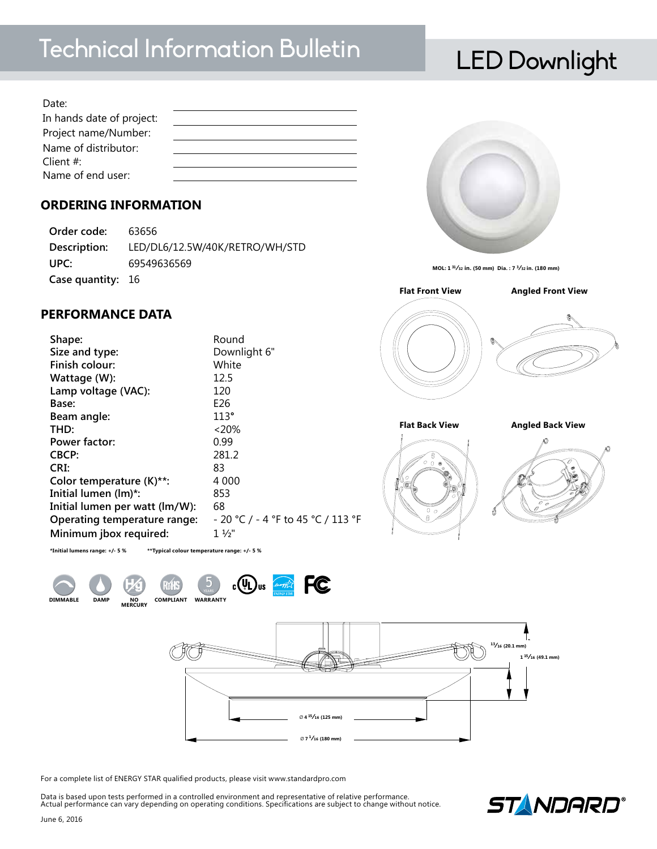# Technical Information Bulletin LED Downlight

| Date:                     |  |
|---------------------------|--|
| In hands date of project: |  |
| Project name/Number:      |  |
| Name of distributor:      |  |
| Client $#$ :              |  |
| Name of end user:         |  |
|                           |  |

## **ORDERING INFORMATION**

**Order code:** 63656 **Description:** LED/DL6/12.5W/40K/RETRO/WH/STD **UPC:** 69549636569 **Case quantity:** 16

## **PERFORMANCE DATA**

| Downlight 6"<br>Size and type:<br>Finish colour:<br>White<br>12.5<br>Wattage (W):<br>Lamp voltage (VAC):<br>120<br>E26<br>Base:<br>113°<br>Beam angle:<br>$< 20\%$<br>THD:<br>0.99<br>Power factor:<br>281.2<br>CBCP: | Shape: | Round                              |
|-----------------------------------------------------------------------------------------------------------------------------------------------------------------------------------------------------------------------|--------|------------------------------------|
|                                                                                                                                                                                                                       |        |                                    |
|                                                                                                                                                                                                                       |        |                                    |
|                                                                                                                                                                                                                       |        |                                    |
|                                                                                                                                                                                                                       |        |                                    |
|                                                                                                                                                                                                                       |        |                                    |
|                                                                                                                                                                                                                       |        |                                    |
|                                                                                                                                                                                                                       |        |                                    |
|                                                                                                                                                                                                                       |        |                                    |
|                                                                                                                                                                                                                       |        |                                    |
| 83<br>CRI:                                                                                                                                                                                                            |        |                                    |
| Color temperature (K)**:<br>4 0 0 0                                                                                                                                                                                   |        |                                    |
| Initial lumen (lm)*:<br>853                                                                                                                                                                                           |        |                                    |
| 68<br>Initial lumen per watt (lm/W):                                                                                                                                                                                  |        |                                    |
| Operating temperature range:                                                                                                                                                                                          |        | - 20 °C / - 4 °F to 45 °C / 113 °F |
| Minimum jbox required:<br>$1\frac{1}{2}$                                                                                                                                                                              |        |                                    |





49.1 **1 <sup>15</sup>⁄<sup>16</sup> (49.1 mm)** 20.1 **<sup>13</sup>⁄<sup>16</sup> (20.1 mm)** 180 Ø **7 <sup>1</sup>⁄<sup>16</sup> (180 mm)**125 Ø **4 <sup>15</sup>⁄<sup>16</sup> (125 mm)** 1 2 3 4 5 6 7 8

For a complete list of ENERGY STAR qualified products, please visit www.standardpro.com

Data is based upon tests performed in a controlled environment and representative of relative performance. Actual performance can vary depending on operating conditions. Specifications are subject to change without notice.





**MOL: 1 <sup>31</sup>⁄32 in. (50 mm) Dia. : 7 3⁄32 in. (180 mm)**



**Flat Back View** Flat Back View **Angled Back View** 



 $\mathbb{Z}^2$ 125 1